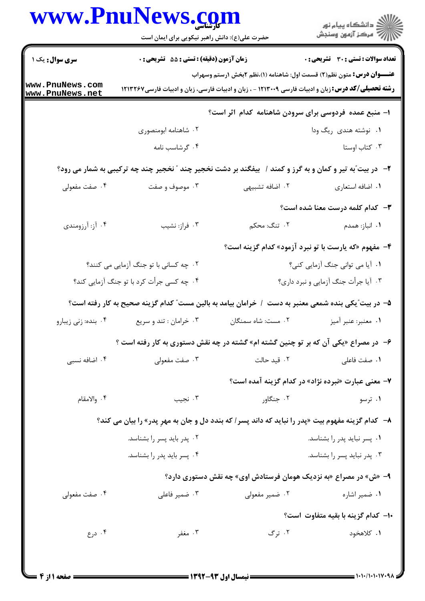| www.PnuNews.com                    | حضرت علی(ع): دانش راهبر نیکویی برای ایمان است                                                            |                                                                                                                                                                                             | الا دانشگاه پيام نور<br>  > مرکز آزمون وسنجش       |
|------------------------------------|----------------------------------------------------------------------------------------------------------|---------------------------------------------------------------------------------------------------------------------------------------------------------------------------------------------|----------------------------------------------------|
| <b>سری سوال :</b> یک ۱             | زمان آزمون (دقیقه) : تستی : 55 آتشریحی : 0                                                               |                                                                                                                                                                                             | <b>تعداد سوالات : تستی : 30 ٪ تشریحی : 0</b>       |
| www.PnuNews.com<br>www.PnuNews.net |                                                                                                          | <b>عنـــوان درس:</b> متون نظم(۲) قسمت اول: شاهنامه (۱)،نظم ۲بخش ۱رستم وسهراب<br><b>رشته تحصیلی/کد درس:</b> زبان و ادبیات فارسی ۱۲۱۳۰۰۹ - ، زبان و ادبیات فارسی، زبان و ادبیات فارسی ۱۲۱۳۲۶۷ |                                                    |
|                                    |                                                                                                          | ۱– منبع عمده فردوسی برای سرودن شاهنامه کدام اثر است؟                                                                                                                                        |                                                    |
|                                    | ۰۲ شاهنامه ابومنصوری                                                                                     |                                                                                                                                                                                             | ۰۱ نوشته هندی ریگ ودا                              |
|                                    | ۰۴ گرشاسب نامه                                                                                           |                                                                                                                                                                                             | ۰۳ کتاب اوستا                                      |
|                                    | ۲- در بیت ّبه تیر و کمان و به گرز و کمند / بیفگند بر دشت نخجیر چند " نخجیر چند چه ترکیبی به شمار می رود؟ |                                                                                                                                                                                             |                                                    |
| ۰۴ صفت مفعولی                      | ۰۳ موصوف و صفت                                                                                           | ۰۲ اضافه تشبیهی                                                                                                                                                                             | ٠١. اضافه استعارى                                  |
|                                    |                                                                                                          |                                                                                                                                                                                             | <b>۳</b> - کدام کلمه درست معنا شده است؟            |
| ۰۴ آز: آرزومندی                    | ۰۳ فراز: نشيب                                                                                            | ۲.  تنگ: محکم                                                                                                                                                                               | ۰۱ انباز: همدم                                     |
|                                    |                                                                                                          | ۴- مفهوم «که یارست با تو نبرد آزمود» کدام گزینه است؟                                                                                                                                        |                                                    |
|                                    | ۰۲ چه کسانی با تو جنگ آزمایی می کنند؟                                                                    |                                                                                                                                                                                             | ۰۱ آیا می توانی جنگ آزمایی کنی؟                    |
|                                    | ۰۴ چه کسی جرأت کرد با تو جنگ آزمایی کند؟                                                                 | ۰۳ آیا جرأت جنگ آزمایی و نبرد داری؟                                                                                                                                                         |                                                    |
|                                    | ۵– در بیت ّیکی بنده شمعی معنبر به دست ۱ خرامان بیامد به بالین مست ّ کدام گزینه صحیح به کار رفته است؟     |                                                                                                                                                                                             |                                                    |
| ۰۴ بنده: زني زيبارو                | ۰۳ خرامان : تند و سريع                                                                                   | ۰۲ مست: شاه سمنگان                                                                                                                                                                          | ۰۱ معنبر: عنبر آميز                                |
|                                    | ۶- در مصراع «یکی آن که بر تو چنین گشته ام» گشته در چه نقش دستوری به کار رفته است ؟                       |                                                                                                                                                                                             |                                                    |
| ۰۴ اضافه نسبی                      | ۰۳ صفت مفعولی                                                                                            | ٠٢ قيد حالت                                                                                                                                                                                 | ٠١ صفت فاعلى                                       |
|                                    |                                                                                                          |                                                                                                                                                                                             | ۷- معنی عبارت «نبرده نژاد» در کدام گزینه آمده است؟ |
| ۰۴ والامقام                        | ۰۳ نجيب                                                                                                  | ۰۲ جنگاور                                                                                                                                                                                   | ۰۱ ترسو                                            |
|                                    | ۸– کدام گزینه مفهوم بیت «پدر را نباید که داند پسر / که بندد دل و جان به مهرِ پدر» را بیان می کند؟        |                                                                                                                                                                                             |                                                    |
|                                    | ۰۲ پدر باید پسر را بشناسد.                                                                               |                                                                                                                                                                                             | ۰۱ پسر نباید پدر را بشناسد.                        |
|                                    | ۰۴ پسر باید پدر را بشناسد.                                                                               |                                                                                                                                                                                             | ۰۳ پدر نباید پسر را بشناسد.                        |
|                                    |                                                                                                          | ۹- «ش» در مصراع «به نزدیک هومان فرستادش اوی» چه نقش دستوری دارد؟                                                                                                                            |                                                    |
| ۰۴ صفت مفعولی                      | ۰۳ ضمیر فاعلی                                                                                            | ۰۲ ضمیر مفعولی                                                                                                                                                                              | ۰۱ ضمیر اشاره                                      |
|                                    |                                                                                                          |                                                                                                                                                                                             | ۱۰– کدام گزینه با بقیه متفاوت است؟                 |
| ۰۴ درع                             | ۰۳ مغفر                                                                                                  | ۰۲ ترگ                                                                                                                                                                                      | ۱. کلاهخود                                         |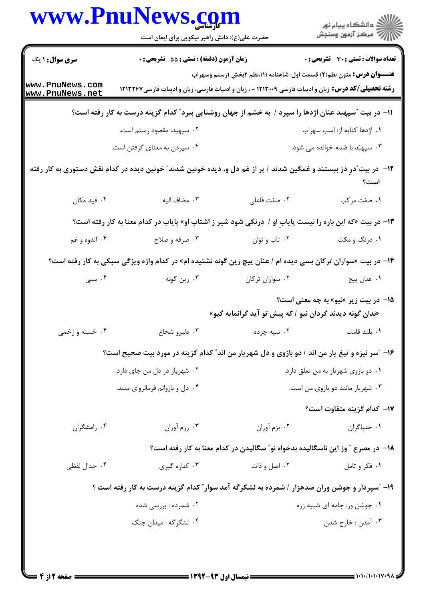|                                    | www.PnuNews.com                                                                                                     |                                                                                 | ان دانشگاه پيام نور<br>اس مرکز آزمون وسنجش   |
|------------------------------------|---------------------------------------------------------------------------------------------------------------------|---------------------------------------------------------------------------------|----------------------------------------------|
|                                    | حضرت علی(ع): دانش راهبر نیکویی برای ایمان است                                                                       |                                                                                 |                                              |
| <b>سری سوال :</b> ۱ یک             | زمان آزمون (دقیقه) : تستی : 55 آتشریحی : 0                                                                          |                                                                                 | <b>تعداد سوالات : تستی : 30 ٪ تشریحی : 0</b> |
| www.PnuNews.com<br>www.PnuNews.net | <b>رشته تحصیلی/کد درس:</b> زبان و ادبیات فارسی ۱۲۱۳۰۰۹ - ، زبان و ادبیات فارسی، زبان و ادبیات فارسی ۱۲۱۳۲۶۷         | <b>عنـــوان درس:</b> متون نظم(۲) قسمت اول: شاهنامه (۱)،نظم ۲بخش ۱رستم وسهراب    |                                              |
|                                    | 1۱– در بیت ″سپهبد عنان اژدها را سپرد / به خشم از جهان روشنایی ببرد″ کدام گزینه درست به کار رفته است؟                |                                                                                 |                                              |
|                                    | ۰۲ سپهبد: مقصود رستم است.                                                                                           |                                                                                 | ٠١. اژدها كنايه از: اسب سهراب                |
|                                    | ۰۴ سپردن به معنای گرفتن است.                                                                                        |                                                                                 | ۰۳ سپهبُد با ضمه خوانده می شود.              |
|                                    | ۱۲– در بیت ّدرِ دز ببستند و غمگین شدند / پر از غم دل و، دیده خونین شدند ّ خونین دیده در کدام نقش دستوری به کار رفته |                                                                                 | است؟                                         |
| ۰۴ قید مکان                        | ۰۳ مضاف اليه                                                                                                        | ٠٢ صفت فاعلى                                                                    | ۰۱ صفت مرکب                                  |
|                                    | ۱۳- در بیت «که این باره را نیست پایابِ او / درنگی شود شیر ز اشتاب او» پایاب در کدام معنا به کار رفته است؟           |                                                                                 |                                              |
| ۰۴ اندوه و غم                      | ۰۳ صرفه و صلاح                                                                                                      | ۰۲ تاب و توان                                                                   | ۰۱ درنگ و مکث                                |
|                                    | ۱۴- در بیت «سواران ترکان بسی دیده ام / عنان پیچ زین گونه نشنیده ام» در کدام واژه ویژگی سبکی به کار رفته است؟        |                                                                                 |                                              |
| ۰۴ بسی                             | ۰۳ زین گونه                                                                                                         | ٠٢ سواران تركان                                                                 | ۰۱ عنان پیچ                                  |
|                                    |                                                                                                                     | «بدان گونه دیدند گردان نیو / که پیش تو آید گرانمایه گیو»                        | <b>۱۵</b> - در بیت زیر «نیو» به چه معنی است؟ |
| ۰۴ خسته و زخمي                     | ۰۳ دلیرو شجاع                                                                                                       | ۰۲ سیه چرده                                                                     | ۰۱ بلند قامت                                 |
|                                    | ۱۶- "سر نیزه و تیغ یار من اند / دو بازوی و دل شهریار من اند" کدام گزینه در مورد بیت صحیح است؟                       |                                                                                 |                                              |
|                                    | ۰۲ شهریار در دل من جای دارد.                                                                                        | ٠١ دو بازوى شهريار به من تعلق دارد.                                             |                                              |
|                                    | ۰۴ دل و بازوانم فرمانروای منند.                                                                                     | ۰۳ شهریار مانند دو بازوی من است.                                                |                                              |
|                                    |                                                                                                                     |                                                                                 | 17− كدام گزينه متفاوت است؟                   |
| ۰۴ رامشگران                        | ۰۳ رزم آوران                                                                                                        | ۰۲ بزم آوران                                                                    | ۰۱ خنیاگران                                  |
|                                    |                                                                                                                     | ۱۸− در مصرع ″ وز این ناسگالیده بدخواه نو″ سگالیدن در کدام معنا به کار رفته است؟ |                                              |
| ۰۴ جدال لفظی                       | ۰۳ کناره گیری                                                                                                       | ۰۲ اصل و ذات                                                                    | ۰۱ فکر و تامل                                |
|                                    | ۱۹- آسپردار و جوشن وران صدهزار / شمرده به لشکرگه آمد سوار ؒ کدام گزینه درست به کار رفته است ؟                       |                                                                                 |                                              |
|                                    | ۰۲ شمرده : بررسی شده                                                                                                | ٠١ جوشن ور: جامه اي شبيه زره                                                    |                                              |
|                                    | ۰۴ لشگرگه : میدان جنگ                                                                                               |                                                                                 | ۰۳ آمدن : خارج شدن                           |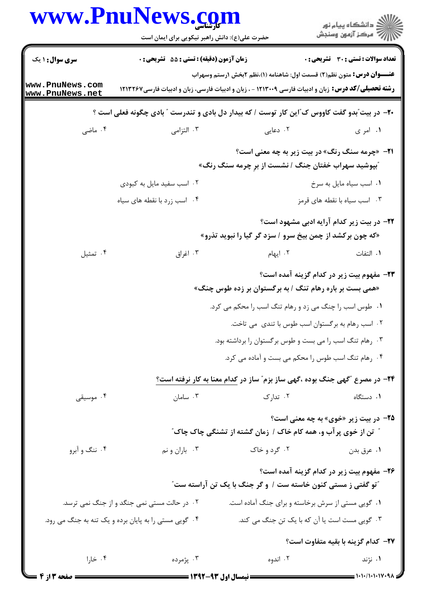|                                    | www.Pnulvews.com<br>حضرت علی(ع): دانش راهبر نیکویی برای ایمان است |                                                                                                                                                                                              | ڪ دانشڪاه پيام نور<br><mark>ر</mark> ⊽ مرڪز آزمون وسنڊش |
|------------------------------------|-------------------------------------------------------------------|----------------------------------------------------------------------------------------------------------------------------------------------------------------------------------------------|---------------------------------------------------------|
| <b>سری سوال : ۱ یک</b>             | زمان آزمون (دقيقه) : تستى : 55 تشريحى : 0                         |                                                                                                                                                                                              | <b>تعداد سوالات : تستی : 30 ٪ تشریحی : 0</b>            |
| www.PnuNews.com<br>www.PnuNews.net |                                                                   | <b>عنــــوان درس:</b> متون نظم(٢) قسمت اول: شاهنامه (١)،نظم ٢بخش ١رستم وسهراب<br><b>رشته تحصیلی/کد درس:</b> زبان و ادبیات فارسی ۱۲۱۳۰۰۹ - ، زبان و ادبیات فارسی، زبان و ادبیات فارسی ۱۲۱۳۲۶۷ |                                                         |
|                                    |                                                                   | +۲- در بیت ّبدو گفت کاووس ک ّاین کار توست / که بیدار دل بادی و تندرست ″ بادی چگونه فعلی است ؟                                                                                                |                                                         |
| ۰۴ ماضی                            | ۰۳ التزامی                                                        | ۰۲ دعایی                                                                                                                                                                                     | ۰۱ امر ی                                                |
|                                    |                                                                   | <b>۲۱</b> - «چرمه سنگ رنگ» در بیت زیر به چه معنی است؟<br><b>ًبپوشید سهراب خفتان جنگ / نشست از برِ چرمه سنگ رنگ»</b>                                                                          |                                                         |
|                                    | ۲. اسب سفید مایل به کبودی                                         |                                                                                                                                                                                              | ٠١ اسب سياه مايل به سرخ                                 |
|                                    | ۰۴ اسب زرد با نقطه های سیاه                                       |                                                                                                                                                                                              | ۰۳ اسب سیاه با نقطه های قرمز                            |
|                                    |                                                                   | «که چون برکشد از چمن بیخ سرو / سزد گر گیا را نبوید تذرو»                                                                                                                                     | <b>۲۲</b> - در بیت زیر کدام آرایه ادبی مشهود است؟       |
| ۰۴ تمثیل                           | ۰۳ اغراق                                                          | ۰۲ ایهام                                                                                                                                                                                     | ٠١. التفات                                              |
|                                    |                                                                   | «همی بست بر باره رهام تنگ / به برگستوان بر زده طوس چنگ»                                                                                                                                      | ۲۳- مفهوم بیت زیر در کدام گزینه آمده است؟               |
|                                    |                                                                   | 1. طوس اسب را چنگ می زد و رهام تنگ اسب را محکم می کرد.                                                                                                                                       |                                                         |
|                                    |                                                                   | ۰۲ اسب رهام به برگستوان اسب طوس با تندی ًمی تاخت.                                                                                                                                            |                                                         |
|                                    |                                                                   | ۰۳ رهام تنگ اسب را می بست و طوس برگستوان را برداشته بود.                                                                                                                                     |                                                         |
|                                    |                                                                   | ۰۴ رهام تنگ اسب طوس را محکم می بست و آماده می کرد.                                                                                                                                           |                                                         |
|                                    |                                                                   | <b>۲۴</b> - در مصرع "گهی جنگ بوده ،گهی ساز بزم" ساز در کدام معنا به کار نرفته است؟                                                                                                           |                                                         |
| ۰۴ موسیقی                          |                                                                   | ۲. تدارک میسامان در سامان                                                                                                                                                                    | ۰۱ دستگاه                                               |
|                                    |                                                                   | ً تن از خوی پر آب و، همه کام خاک / زمان گشته از تشنگی چاک چاک <i>"</i>                                                                                                                       | <b>۲۵</b> - در بیت زیر «خوی» به چه معنی است؟            |
| ۰۴ ننگ و آبرو                      | ۰۳ باران و نم                                                     | ۰۲ گرد و خاک                                                                                                                                                                                 | ۰۱ عرق بدن                                              |
|                                    |                                                                   | "تو گفتی ز مستی کنون خاسته ست / و گر جنگ با یک تن آراسته ست"                                                                                                                                 | ۲۶- مفهوم بیت زیر در کدام گزینه آمده است؟               |
|                                    | ۰۲ در حالت مستی نمی جنگد و از جنگ نمی ترسد.                       | ۰۱ گویی مستی از سرش برخاسته و برای جنگ آماده است.                                                                                                                                            |                                                         |
|                                    | ۰۴ گویی مستی را به پایان برده و یک تنه به جنگ می رود.             | ۰۳ گویی مست است یا آن که با یک تن جنگ می کند.                                                                                                                                                |                                                         |
|                                    |                                                                   |                                                                                                                                                                                              | ٢٧- كدام گزينه با بقيه متفاوت است؟                      |
| ۰۴ خارا                            | ۰۳ پژمرده                                                         | ۰۲ اندوه                                                                                                                                                                                     | ۰۱ نژند                                                 |
| <b>ـــــ صفحه 3 از 4</b>           |                                                                   |                                                                                                                                                                                              |                                                         |